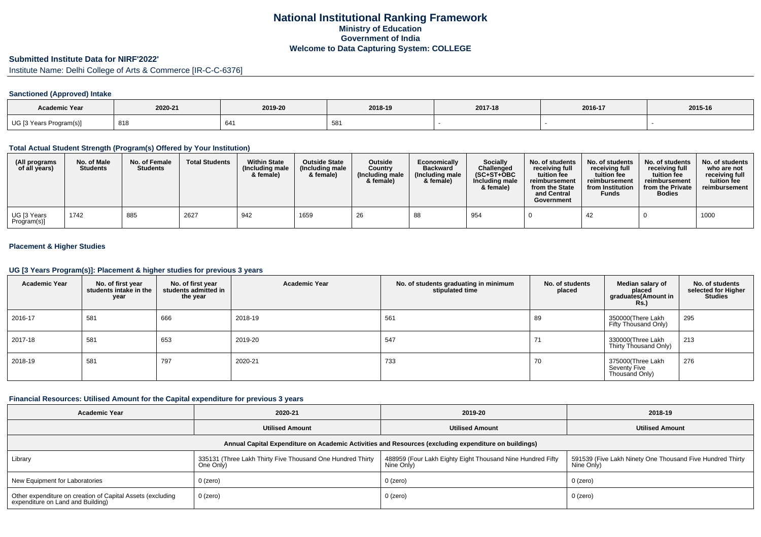# **National Institutional Ranking FrameworkMinistry of Education Government of IndiaWelcome to Data Capturing System: COLLEGE**

# **Submitted Institute Data for NIRF'2022'**

Institute Name: Delhi College of Arts & Commerce [IR-C-C-6376]

### **Sanctioned (Approved) Intake**

| <b>Academic Year</b>    | 2020-21 | 2019-20 | 2018-19 | 2017-18 | 2016-17 | 2015-16 |
|-------------------------|---------|---------|---------|---------|---------|---------|
| UG [3 Years Program(s)] | 818     | 641     | ခဝ၊     |         |         |         |

#### **Total Actual Student Strength (Program(s) Offered by Your Institution)**

| (All programs<br>of all years) | No. of Male<br><b>Students</b> | No. of Female<br><b>Students</b> | <b>Total Students</b> | <b>Within State</b><br>(Including male<br>& female) | <b>Outside State</b><br>(Including male<br>& female) | <b>Outside</b><br>Country<br>(Including male<br>& female) | Economically<br><b>Backward</b><br>(Including male)<br>& female) | Socially<br>Challenged<br>$(SC+ST+OBC$<br>Including male<br>& female) | No. of students<br>receiving full<br>tuition fee<br>reimbursement<br>from the State<br>and Central<br>Government | No. of students<br>receiving full<br>tuition fee<br>reimbursement<br>from Institution<br><b>Funds</b> | No. of students<br>receiving full<br>tuition fee<br>reimbursement<br>from the Private<br><b>Bodies</b> | No. of students<br>who are not<br>receiving full<br>tuition fee<br>reimbursement |
|--------------------------------|--------------------------------|----------------------------------|-----------------------|-----------------------------------------------------|------------------------------------------------------|-----------------------------------------------------------|------------------------------------------------------------------|-----------------------------------------------------------------------|------------------------------------------------------------------------------------------------------------------|-------------------------------------------------------------------------------------------------------|--------------------------------------------------------------------------------------------------------|----------------------------------------------------------------------------------|
| UG [3 Years<br>Program(s)]     | 1742                           | 885                              | 2627                  | 942                                                 | 1659                                                 | 26                                                        | 88                                                               | 954                                                                   |                                                                                                                  | 42                                                                                                    |                                                                                                        | 1000                                                                             |

### **Placement & Higher Studies**

#### **UG [3 Years Program(s)]: Placement & higher studies for previous 3 years**

| <b>Academic Year</b> | No. of first year<br>students intake in the<br>year | No. of first year<br>students admitted in<br>the year | <b>Academic Year</b> | No. of students graduating in minimum<br>stipulated time | No. of students<br>placed | Median salary of<br>placed<br>graduates(Amount in<br><b>Rs.)</b> | No. of students<br>selected for Higher<br><b>Studies</b> |
|----------------------|-----------------------------------------------------|-------------------------------------------------------|----------------------|----------------------------------------------------------|---------------------------|------------------------------------------------------------------|----------------------------------------------------------|
| 2016-17              | 581                                                 | 666                                                   | 2018-19              | 561                                                      | 89                        | 350000(There Lakh<br>Fifty Thousand Only)                        | 295                                                      |
| 2017-18              | 581                                                 | 653                                                   | 2019-20              | 547                                                      | 71                        | 330000(Three Lakh<br>Thirty Thousand Only)                       | 213                                                      |
| 2018-19              | 581                                                 | 797                                                   | 2020-21              | 733                                                      | 70                        | 375000(Three Lakh<br>Seventy Five<br>Thousand Only)              | 276                                                      |

#### **Financial Resources: Utilised Amount for the Capital expenditure for previous 3 years**

| <b>Academic Year</b>                                                                                 | 2020-21                                                                 | 2019-20                                                                  | 2018-19                                                                   |  |  |  |  |  |  |  |
|------------------------------------------------------------------------------------------------------|-------------------------------------------------------------------------|--------------------------------------------------------------------------|---------------------------------------------------------------------------|--|--|--|--|--|--|--|
|                                                                                                      | <b>Utilised Amount</b>                                                  | <b>Utilised Amount</b>                                                   | <b>Utilised Amount</b>                                                    |  |  |  |  |  |  |  |
| Annual Capital Expenditure on Academic Activities and Resources (excluding expenditure on buildings) |                                                                         |                                                                          |                                                                           |  |  |  |  |  |  |  |
| Library                                                                                              | 335131 (Three Lakh Thirty Five Thousand One Hundred Thirty<br>One Only) | 488959 (Four Lakh Eighty Eight Thousand Nine Hundred Fifty<br>Nine Only) | 591539 (Five Lakh Ninety One Thousand Five Hundred Thirty  <br>Nine Only) |  |  |  |  |  |  |  |
| New Equipment for Laboratories                                                                       | $0$ (zero)                                                              | $0$ (zero)                                                               | 0 (zero)                                                                  |  |  |  |  |  |  |  |
| Other expenditure on creation of Capital Assets (excluding<br>expenditure on Land and Building)      | 0 (zero)                                                                | $0$ (zero)                                                               | 0 (zero)                                                                  |  |  |  |  |  |  |  |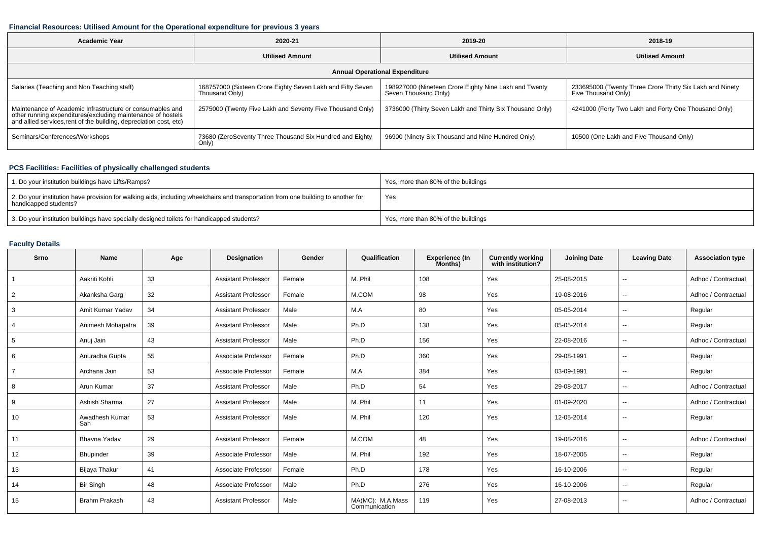#### **Financial Resources: Utilised Amount for the Operational expenditure for previous 3 years**

| <b>Academic Year</b>                                                                                                                                                                           | 2020-21                                                                      | 2019-20                                                                       | 2018-19                                                                         |  |  |  |  |  |  |
|------------------------------------------------------------------------------------------------------------------------------------------------------------------------------------------------|------------------------------------------------------------------------------|-------------------------------------------------------------------------------|---------------------------------------------------------------------------------|--|--|--|--|--|--|
|                                                                                                                                                                                                | <b>Utilised Amount</b>                                                       | <b>Utilised Amount</b>                                                        | <b>Utilised Amount</b>                                                          |  |  |  |  |  |  |
| <b>Annual Operational Expenditure</b>                                                                                                                                                          |                                                                              |                                                                               |                                                                                 |  |  |  |  |  |  |
| Salaries (Teaching and Non Teaching staff)                                                                                                                                                     | 168757000 (Sixteen Crore Eighty Seven Lakh and Fifty Seven<br>Thousand Only) | 198927000 (Nineteen Crore Eighty Nine Lakh and Twenty<br>Seven Thousand Only) | 233695000 (Twenty Three Crore Thirty Six Lakh and Ninety<br>Five Thousand Only) |  |  |  |  |  |  |
| Maintenance of Academic Infrastructure or consumables and<br>other running expenditures(excluding maintenance of hostels<br>and allied services, rent of the building, depreciation cost, etc) | 2575000 (Twenty Five Lakh and Seventy Five Thousand Only)                    | 3736000 (Thirty Seven Lakh and Thirty Six Thousand Only)                      | 4241000 (Forty Two Lakh and Forty One Thousand Only)                            |  |  |  |  |  |  |
| Seminars/Conferences/Workshops                                                                                                                                                                 | 73680 (ZeroSeventy Three Thousand Six Hundred and Eighty<br>Only)            | 96900 (Ninety Six Thousand and Nine Hundred Only)                             | 10500 (One Lakh and Five Thousand Only)                                         |  |  |  |  |  |  |

## **PCS Facilities: Facilities of physically challenged students**

| 1. Do your institution buildings have Lifts/Ramps?                                                                                                         | Yes, more than 80% of the buildings |
|------------------------------------------------------------------------------------------------------------------------------------------------------------|-------------------------------------|
| 2. Do your institution have provision for walking aids, including wheelchairs and transportation from one building to another for<br>handicapped students? | Yes                                 |
| 3. Do your institution buildings have specially designed toilets for handicapped students?                                                                 | Yes, more than 80% of the buildings |

## **Faculty Details**

| Srno | <b>Name</b>           | Age | <b>Designation</b>         | Gender | Qualification                     | <b>Experience (In</b><br>Months) | <b>Currently working</b><br>with institution? | <b>Joining Date</b> | <b>Leaving Date</b>      | <b>Association type</b> |
|------|-----------------------|-----|----------------------------|--------|-----------------------------------|----------------------------------|-----------------------------------------------|---------------------|--------------------------|-------------------------|
|      | Aakriti Kohli         | 33  | <b>Assistant Professor</b> | Female | M. Phil                           | 108                              | Yes                                           | 25-08-2015          | $\overline{\phantom{a}}$ | Adhoc / Contractual     |
| 2    | Akanksha Garg         | 32  | <b>Assistant Professor</b> | Female | M.COM                             | 98                               | Yes                                           | 19-08-2016          | $\overline{\phantom{a}}$ | Adhoc / Contractual     |
| 3    | Amit Kumar Yadav      | 34  | <b>Assistant Professor</b> | Male   | M.A                               | 80                               | Yes                                           | 05-05-2014          | $\overline{\phantom{a}}$ | Regular                 |
|      | Animesh Mohapatra     | 39  | <b>Assistant Professor</b> | Male   | Ph.D                              | 138                              | Yes                                           | 05-05-2014          | $\overline{\phantom{a}}$ | Regular                 |
| 5    | Anuj Jain             | 43  | <b>Assistant Professor</b> | Male   | Ph.D                              | 156                              | Yes                                           | 22-08-2016          | $\overline{\phantom{a}}$ | Adhoc / Contractual     |
| 6    | Anuradha Gupta        | 55  | Associate Professor        | Female | Ph.D                              | 360                              | Yes                                           | 29-08-1991          | $\overline{\phantom{a}}$ | Regular                 |
|      | Archana Jain          | 53  | Associate Professor        | Female | M.A                               | 384                              | Yes                                           | 03-09-1991          | $\overline{\phantom{a}}$ | Regular                 |
| 8    | Arun Kumar            | 37  | <b>Assistant Professor</b> | Male   | Ph.D                              | 54                               | Yes                                           | 29-08-2017          | $- -$                    | Adhoc / Contractual     |
| 9    | Ashish Sharma         | 27  | <b>Assistant Professor</b> | Male   | M. Phil                           | 11                               | Yes                                           | 01-09-2020          | $\overline{\phantom{a}}$ | Adhoc / Contractual     |
| 10   | Awadhesh Kumar<br>Sah | 53  | <b>Assistant Professor</b> | Male   | M. Phil                           | 120                              | Yes                                           | 12-05-2014          | $\overline{\phantom{a}}$ | Regular                 |
| 11   | Bhavna Yadav          | 29  | <b>Assistant Professor</b> | Female | M.COM                             | 48                               | Yes                                           | 19-08-2016          | $\overline{\phantom{a}}$ | Adhoc / Contractual     |
| 12   | Bhupinder             | 39  | Associate Professor        | Male   | M. Phil                           | 192                              | Yes                                           | 18-07-2005          | $\overline{\phantom{a}}$ | Regular                 |
| 13   | Bijaya Thakur         | 41  | Associate Professor        | Female | Ph.D                              | 178                              | Yes                                           | 16-10-2006          | $\overline{\phantom{a}}$ | Regular                 |
| 14   | <b>Bir Singh</b>      | 48  | Associate Professor        | Male   | Ph.D                              | 276                              | Yes                                           | 16-10-2006          | $\overline{\phantom{a}}$ | Regular                 |
| 15   | <b>Brahm Prakash</b>  | 43  | <b>Assistant Professor</b> | Male   | MA(MC): M.A.Mass<br>Communication | 119                              | Yes                                           | 27-08-2013          | $\overline{\phantom{a}}$ | Adhoc / Contractual     |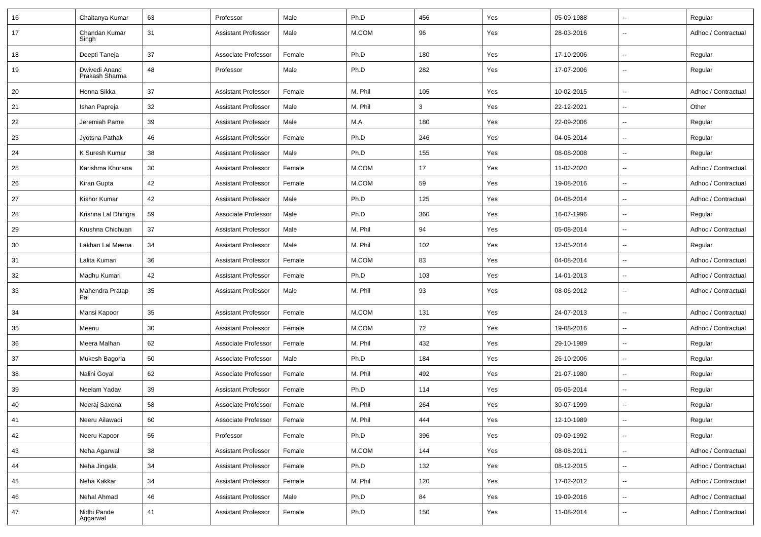| 16 | Chaitanya Kumar                 | 63 | Professor                  | Male   | Ph.D     | 456          | Yes | 05-09-1988 | $\sim$                   | Regular             |
|----|---------------------------------|----|----------------------------|--------|----------|--------------|-----|------------|--------------------------|---------------------|
| 17 | Chandan Kumar<br>Singh          | 31 | <b>Assistant Professor</b> | Male   | M.COM    | 96           | Yes | 28-03-2016 | $\overline{\phantom{a}}$ | Adhoc / Contractual |
| 18 | Deepti Taneja                   | 37 | Associate Professor        | Female | Ph.D     | 180          | Yes | 17-10-2006 | $\overline{\phantom{a}}$ | Regular             |
| 19 | Dwivedi Anand<br>Prakash Sharma | 48 | Professor                  | Male   | Ph.D     | 282          | Yes | 17-07-2006 | $\overline{\phantom{a}}$ | Regular             |
| 20 | Henna Sikka                     | 37 | <b>Assistant Professor</b> | Female | M. Phil  | 105          | Yes | 10-02-2015 | $\overline{\phantom{a}}$ | Adhoc / Contractual |
| 21 | Ishan Papreja                   | 32 | <b>Assistant Professor</b> | Male   | M. Phil  | $\mathbf{3}$ | Yes | 22-12-2021 | $\overline{\phantom{a}}$ | Other               |
| 22 | Jeremiah Pame                   | 39 | <b>Assistant Professor</b> | Male   | M.A      | 180          | Yes | 22-09-2006 | $\overline{\phantom{a}}$ | Regular             |
| 23 | Jyotsna Pathak                  | 46 | <b>Assistant Professor</b> | Female | Ph.D     | 246          | Yes | 04-05-2014 | $\overline{\phantom{a}}$ | Regular             |
| 24 | K Suresh Kumar                  | 38 | <b>Assistant Professor</b> | Male   | Ph.D     | 155          | Yes | 08-08-2008 | $\overline{\phantom{a}}$ | Regular             |
| 25 | Karishma Khurana                | 30 | <b>Assistant Professor</b> | Female | M.COM    | 17           | Yes | 11-02-2020 | $\overline{\phantom{a}}$ | Adhoc / Contractual |
| 26 | Kiran Gupta                     | 42 | <b>Assistant Professor</b> | Female | M.COM    | 59           | Yes | 19-08-2016 | $\overline{\phantom{a}}$ | Adhoc / Contractual |
| 27 | Kishor Kumar                    | 42 | <b>Assistant Professor</b> | Male   | Ph.D     | 125          | Yes | 04-08-2014 | $\sim$                   | Adhoc / Contractual |
| 28 | Krishna Lal Dhingra             | 59 | Associate Professor        | Male   | Ph.D     | 360          | Yes | 16-07-1996 | $\overline{\phantom{a}}$ | Regular             |
| 29 | Krushna Chichuan                | 37 | <b>Assistant Professor</b> | Male   | M. Phil  | 94           | Yes | 05-08-2014 | $\overline{\phantom{a}}$ | Adhoc / Contractual |
| 30 | Lakhan Lal Meena                | 34 | <b>Assistant Professor</b> | Male   | M. Phil  | 102          | Yes | 12-05-2014 | $\overline{\phantom{a}}$ | Regular             |
| 31 | Lalita Kumari                   | 36 | <b>Assistant Professor</b> | Female | M.COM    | 83           | Yes | 04-08-2014 | $\overline{\phantom{a}}$ | Adhoc / Contractual |
| 32 | Madhu Kumari                    | 42 | <b>Assistant Professor</b> | Female | Ph.D     | 103          | Yes | 14-01-2013 | $\overline{\phantom{a}}$ | Adhoc / Contractual |
| 33 | Mahendra Pratap<br>Pal          | 35 | <b>Assistant Professor</b> | Male   | M. Phil  | 93           | Yes | 08-06-2012 | $\overline{\phantom{a}}$ | Adhoc / Contractual |
| 34 | Mansi Kapoor                    | 35 | <b>Assistant Professor</b> | Female | M.COM    | 131          | Yes | 24-07-2013 | $\sim$                   | Adhoc / Contractual |
| 35 | Meenu                           | 30 | <b>Assistant Professor</b> | Female | M.COM    | 72           | Yes | 19-08-2016 | $\overline{\phantom{a}}$ | Adhoc / Contractual |
| 36 | Meera Malhan                    | 62 | Associate Professor        | Female | M. Phil  | 432          | Yes | 29-10-1989 | $\overline{\phantom{a}}$ | Regular             |
| 37 | Mukesh Bagoria                  | 50 | Associate Professor        | Male   | Ph.D     | 184          | Yes | 26-10-2006 | $\overline{\phantom{a}}$ | Regular             |
| 38 | Nalini Goyal                    | 62 | Associate Professor        | Female | M. Phil  | 492          | Yes | 21-07-1980 | $\overline{\phantom{a}}$ | Regular             |
| 39 | Neelam Yadav                    | 39 | <b>Assistant Professor</b> | Female | Ph.D     | 114          | Yes | 05-05-2014 | $\overline{\phantom{a}}$ | Regular             |
| 40 | Neeraj Saxena                   | 58 | Associate Professor        | Female | M. Phil  | 264          | Yes | 30-07-1999 | $\overline{a}$           | Regular             |
| 41 | Neeru Ailawadi                  | 60 | Associate Professor        | Female | M. Phil  | 444          | Yes | 12-10-1989 | $\overline{\phantom{a}}$ | Regular             |
| 42 | Neeru Kapoor                    | 55 | Professor                  | Female | Ph.D     | 396          | Yes | 09-09-1992 | $\overline{\phantom{a}}$ | Regular             |
| 43 | Neha Agarwal                    | 38 | <b>Assistant Professor</b> | Female | $M.$ COM | 144          | Yes | 08-08-2011 | $\overline{\phantom{a}}$ | Adhoc / Contractual |
| 44 | Neha Jingala                    | 34 | <b>Assistant Professor</b> | Female | Ph.D     | 132          | Yes | 08-12-2015 | $\overline{\phantom{a}}$ | Adhoc / Contractual |
| 45 | Neha Kakkar                     | 34 | <b>Assistant Professor</b> | Female | M. Phil  | 120          | Yes | 17-02-2012 | $\overline{\phantom{a}}$ | Adhoc / Contractual |
| 46 | Nehal Ahmad                     | 46 | <b>Assistant Professor</b> | Male   | Ph.D     | 84           | Yes | 19-09-2016 | $\overline{\phantom{a}}$ | Adhoc / Contractual |
| 47 | Nidhi Pande<br>Aggarwal         | 41 | <b>Assistant Professor</b> | Female | Ph.D     | 150          | Yes | 11-08-2014 | $\overline{\phantom{a}}$ | Adhoc / Contractual |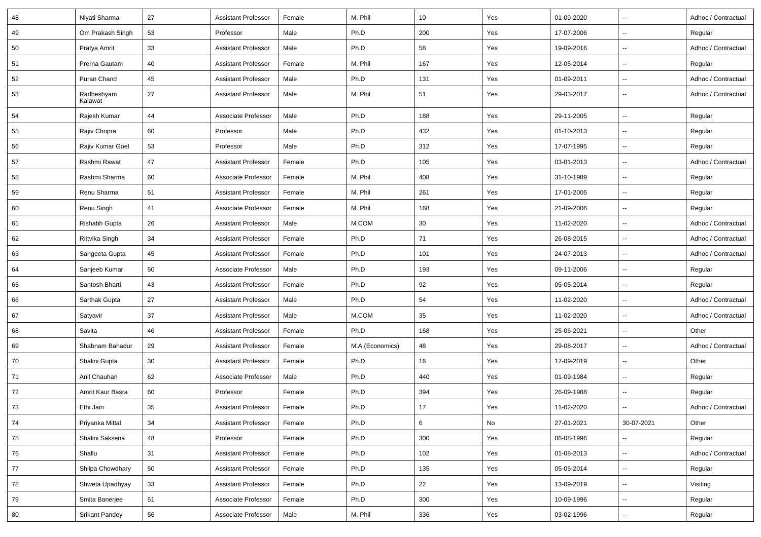| 48 | Niyati Sharma         | 27 | <b>Assistant Professor</b> | Female | M. Phil         | 10  | Yes | 01-09-2020 | $\overline{\phantom{a}}$ | Adhoc / Contractual |
|----|-----------------------|----|----------------------------|--------|-----------------|-----|-----|------------|--------------------------|---------------------|
| 49 | Om Prakash Singh      | 53 | Professor                  | Male   | Ph.D            | 200 | Yes | 17-07-2006 | $\sim$                   | Regular             |
| 50 | Pratya Amrit          | 33 | <b>Assistant Professor</b> | Male   | Ph.D            | 58  | Yes | 19-09-2016 | $\overline{\phantom{a}}$ | Adhoc / Contractual |
| 51 | Prerna Gautam         | 40 | <b>Assistant Professor</b> | Female | M. Phil         | 167 | Yes | 12-05-2014 | $\sim$                   | Regular             |
| 52 | Puran Chand           | 45 | <b>Assistant Professor</b> | Male   | Ph.D            | 131 | Yes | 01-09-2011 | $\sim$                   | Adhoc / Contractual |
| 53 | Radheshyam<br>Kalawat | 27 | <b>Assistant Professor</b> | Male   | M. Phil         | 51  | Yes | 29-03-2017 | $\overline{\phantom{a}}$ | Adhoc / Contractual |
| 54 | Rajesh Kumar          | 44 | Associate Professor        | Male   | Ph.D            | 188 | Yes | 29-11-2005 | $\overline{\phantom{a}}$ | Regular             |
| 55 | Rajiv Chopra          | 60 | Professor                  | Male   | Ph.D            | 432 | Yes | 01-10-2013 | $\sim$                   | Regular             |
| 56 | Rajiv Kumar Goel      | 53 | Professor                  | Male   | Ph.D            | 312 | Yes | 17-07-1995 | $\sim$                   | Regular             |
| 57 | Rashmi Rawat          | 47 | <b>Assistant Professor</b> | Female | Ph.D            | 105 | Yes | 03-01-2013 | $\overline{\phantom{a}}$ | Adhoc / Contractual |
| 58 | Rashmi Sharma         | 60 | Associate Professor        | Female | M. Phil         | 408 | Yes | 31-10-1989 | $\overline{\phantom{a}}$ | Regular             |
| 59 | Renu Sharma           | 51 | <b>Assistant Professor</b> | Female | M. Phil         | 261 | Yes | 17-01-2005 | $\overline{\phantom{a}}$ | Regular             |
| 60 | Renu Singh            | 41 | Associate Professor        | Female | M. Phil         | 168 | Yes | 21-09-2006 | $\sim$                   | Regular             |
| 61 | Rishabh Gupta         | 26 | <b>Assistant Professor</b> | Male   | M.COM           | 30  | Yes | 11-02-2020 | $\sim$                   | Adhoc / Contractual |
| 62 | Rittvika Singh        | 34 | <b>Assistant Professor</b> | Female | Ph.D            | 71  | Yes | 26-08-2015 | $\sim$                   | Adhoc / Contractual |
| 63 | Sangeeta Gupta        | 45 | <b>Assistant Professor</b> | Female | Ph.D            | 101 | Yes | 24-07-2013 | $\overline{\phantom{a}}$ | Adhoc / Contractual |
| 64 | Sanjeeb Kumar         | 50 | Associate Professor        | Male   | Ph.D            | 193 | Yes | 09-11-2006 | $\overline{\phantom{a}}$ | Regular             |
| 65 | Santosh Bharti        | 43 | <b>Assistant Professor</b> | Female | Ph.D            | 92  | Yes | 05-05-2014 | $\overline{\phantom{a}}$ | Regular             |
| 66 | Sarthak Gupta         | 27 | <b>Assistant Professor</b> | Male   | Ph.D            | 54  | Yes | 11-02-2020 | $\overline{\phantom{a}}$ | Adhoc / Contractual |
| 67 | Satyavir              | 37 | <b>Assistant Professor</b> | Male   | M.COM           | 35  | Yes | 11-02-2020 | $\sim$                   | Adhoc / Contractual |
| 68 | Savita                | 46 | <b>Assistant Professor</b> | Female | Ph.D            | 168 | Yes | 25-06-2021 | $\sim$                   | Other               |
| 69 | Shabnam Bahadur       | 29 | <b>Assistant Professor</b> | Female | M.A.(Economics) | 48  | Yes | 29-08-2017 | $\overline{\phantom{a}}$ | Adhoc / Contractual |
| 70 | Shalini Gupta         | 30 | <b>Assistant Professor</b> | Female | Ph.D            | 16  | Yes | 17-09-2019 | $\overline{\phantom{a}}$ | Other               |
| 71 | Anil Chauhan          | 62 | Associate Professor        | Male   | Ph.D            | 440 | Yes | 01-09-1984 | $\overline{\phantom{a}}$ | Regular             |
| 72 | Amrit Kaur Basra      | 60 | Professor                  | Female | Ph.D            | 394 | Yes | 26-09-1988 | $\overline{\phantom{a}}$ | Regular             |
| 73 | Ethi Jain             | 35 | <b>Assistant Professor</b> | Female | Ph.D            | 17  | Yes | 11-02-2020 | $\overline{\phantom{a}}$ | Adhoc / Contractual |
| 74 | Priyanka Mittal       | 34 | <b>Assistant Professor</b> | Female | Ph.D            | 6   | No  | 27-01-2021 | 30-07-2021               | Other               |
| 75 | Shalini Saksena       | 48 | Professor                  | Female | Ph.D            | 300 | Yes | 06-08-1996 | $\overline{\phantom{a}}$ | Regular             |
| 76 | Shallu                | 31 | <b>Assistant Professor</b> | Female | Ph.D            | 102 | Yes | 01-08-2013 | $\overline{\phantom{a}}$ | Adhoc / Contractual |
| 77 | Shilpa Chowdhary      | 50 | <b>Assistant Professor</b> | Female | Ph.D            | 135 | Yes | 05-05-2014 | $\sim$                   | Regular             |
| 78 | Shweta Upadhyay       | 33 | <b>Assistant Professor</b> | Female | Ph.D            | 22  | Yes | 13-09-2019 | $\sim$                   | Visiting            |
| 79 | Smita Banerjee        | 51 | Associate Professor        | Female | Ph.D            | 300 | Yes | 10-09-1996 | $\overline{\phantom{a}}$ | Regular             |
| 80 | <b>Srikant Pandey</b> | 56 | Associate Professor        | Male   | M. Phil         | 336 | Yes | 03-02-1996 | $\overline{\phantom{a}}$ | Regular             |